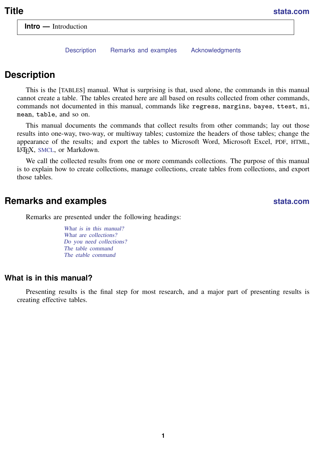<span id="page-0-3"></span>[Description](#page-0-0) [Remarks and examples](#page-0-1) [Acknowledgments](#page-3-0)

# <span id="page-0-0"></span>**Description**

This is the [TABLES] manual. What is surprising is that, used alone, the commands in this manual cannot create a table. The tables created here are all based on results collected from other commands, commands not documented in this manual, commands like regress, margins, bayes, ttest, mi, mean, table, and so on.

This manual documents the commands that collect results from other commands; lay out those results into one-way, two-way, or multiway tables; customize the headers of those tables; change the appearance of the results; and export the tables to Microsoft Word, Microsoft Excel, PDF, HTML, LATEX, [SMCL](https://www.stata.com/manuals/psmcl.pdf#psmcl), or Markdown.

<span id="page-0-1"></span>We call the collected results from one or more commands collections. The purpose of this manual is to explain how to create collections, manage collections, create tables from collections, and export those tables.

## **Remarks and examples [stata.com](http://stata.com)**

Remarks are presented under the following headings:

[What is in this manual?](#page-0-2) [What are collections?](#page-2-0) [Do you need collections?](#page-2-1) [The table command](#page-3-1) [The etable command](#page-3-2)

### <span id="page-0-2"></span>**What is in this manual?**

Presenting results is the final step for most research, and a major part of presenting results is creating effective tables.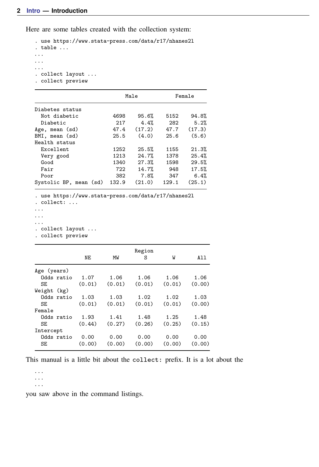Here are some tables created with the collection system:

```
. use https://www.stata-press.com/data/r17/nhanes2l
. table . . .
. . .
. . .
. . .
. collect layout . . .
. collect preview
```

|                        | Male  |        | Female |        |  |  |  |  |
|------------------------|-------|--------|--------|--------|--|--|--|--|
| Diabetes status        |       |        |        |        |  |  |  |  |
| Not diabetic           | 4698  | 95.6%  | 5152   | 94.8%  |  |  |  |  |
| Diabetic               | 217   | 4.4%   | 282    | 5.2%   |  |  |  |  |
| Age, mean (sd)         | 47.4  | (17.2) | 47.7   | (17.3) |  |  |  |  |
| BMI, mean (sd)         | 25.5  | (4.0)  | 25.6   | (5.6)  |  |  |  |  |
| Health status          |       |        |        |        |  |  |  |  |
| Excellent              | 1252  | 25.5%  | 1155   | 21.3%  |  |  |  |  |
| Very good              | 1213  | 24.7%  | 1378   | 25.4%  |  |  |  |  |
| Good                   | 1340  | 27.3%  | 1598   | 29.5%  |  |  |  |  |
| Fair                   | 722   | 14.7%  | 948    | 17.5%  |  |  |  |  |
| Poor                   | 382   | 7.8%   | 347    | 6.4%   |  |  |  |  |
| Systolic BP, mean (sd) | 132.9 | (21.0) | 129.1  | (25.1) |  |  |  |  |

. use https://www.stata-press.com/data/r17/nhanes2l

. collect: . . .

. . .

. . . . . .

. collect layout . . .

. collect preview

|             | NΕ     | МW     | Region<br>S | W      | A11    |
|-------------|--------|--------|-------------|--------|--------|
| Age (years) |        |        |             |        |        |
| Odds ratio  | 1.07   | 1.06   | 1.06        | 1.06   | 1.06   |
| SE          | (0.01) | (0.01) | (0.01)      | (0.01) | (0.00) |
| Weight (kg) |        |        |             |        |        |
| Odds ratio  | 1.03   | 1.03   | 1.02        | 1.02   | 1.03   |
| SE          | (0.01) | (0.01) | (0.01)      | (0.01) | (0.00) |
| Female      |        |        |             |        |        |
| Odds ratio  | 1.93   | 1.41   | 1.48        | 1.25   | 1.48   |
| SE          | (0.44) | (0.27) | (0.26)      | (0.25) | (0.15) |
| Intercept   |        |        |             |        |        |
| Odds ratio  | 0.00   | 0.00   | 0.00        | 0.00   | 0.00   |
| SE          | (0.00) | (0.00) | (0.00)      | (0.00) | (0.00) |
|             |        |        |             |        |        |

This manual is a little bit about the collect: prefix. It is a lot about the

. . . . . . . . .

you saw above in the command listings.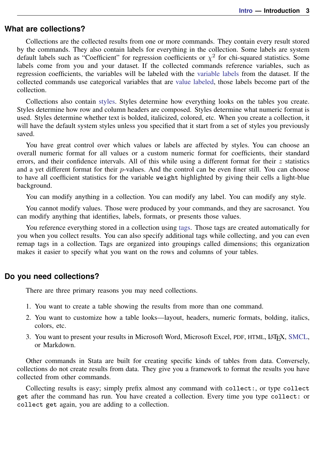#### <span id="page-2-0"></span>**What are collections?**

Collections are the collected results from one or more commands. They contain every result stored by the commands. They also contain labels for everything in the collection. Some labels are system default labels such as "Coefficient" for regression coefficients or  $\chi^2$  for chi-squared statistics. Some labels come from you and your dataset. If the collected commands reference variables, such as regression coefficients, the variables will be labeled with the [variable labels](https://www.stata.com/manuals/dlabel.pdf#dlabel) from the dataset. If the collected commands use categorical variables that are [value labeled](https://www.stata.com/manuals/dlabel.pdf#dlabel), those labels become part of the collection.

Collections also contain [styles.](https://www.stata.com/manuals/tablespredefinedstyles.pdf#tablesPredefinedstyles) Styles determine how everything looks on the tables you create. Styles determine how row and column headers are composed. Styles determine what numeric format is used. Styles determine whether text is bolded, italicized, colored, etc. When you create a collection, it will have the default system styles unless you specified that it start from a set of styles you previously saved.

You have great control over which values or labels are affected by styles. You can choose an overall numeric format for all values or a custom numeric format for coefficients, their standard errors, and their confidence intervals. All of this while using a different format for their  $z$  statistics and a yet different format for their p-values. And the control can be even finer still. You can choose to have all coefficient statistics for the variable weight highlighted by giving their cells a light-blue background.

You can modify anything in a collection. You can modify any label. You can modify any style.

You cannot modify values. Those were produced by your commands, and they are sacrosanct. You can modify anything that identifies, labels, formats, or presents those values.

You reference everything stored in a collection using [tags.](https://www.stata.com/manuals/tablesglossary.pdf#tablesGlossarytags) Those tags are created automatically for you when you collect results. You can also specify additional tags while collecting, and you can even remap tags in a collection. Tags are organized into groupings called dimensions; this organization makes it easier to specify what you want on the rows and columns of your tables.

#### <span id="page-2-1"></span>**Do you need collections?**

There are three primary reasons you may need collections.

- 1. You want to create a table showing the results from more than one command.
- 2. You want to customize how a table looks—layout, headers, numeric formats, bolding, italics, colors, etc.
- <span id="page-2-2"></span>3. You want to present your results in Microsoft Word, Microsoft Excel, PDF, HTML, LATEX, [SMCL,](https://www.stata.com/manuals/psmcl.pdf#psmcl) or Markdown.

Other commands in Stata are built for creating specific kinds of tables from data. Conversely, collections do not create results from data. They give you a framework to format the results you have collected from other commands.

Collecting results is easy; simply prefix almost any command with collect:, or type collect get after the command has run. You have created a collection. Every time you type collect: or collect get again, you are adding to a collection.